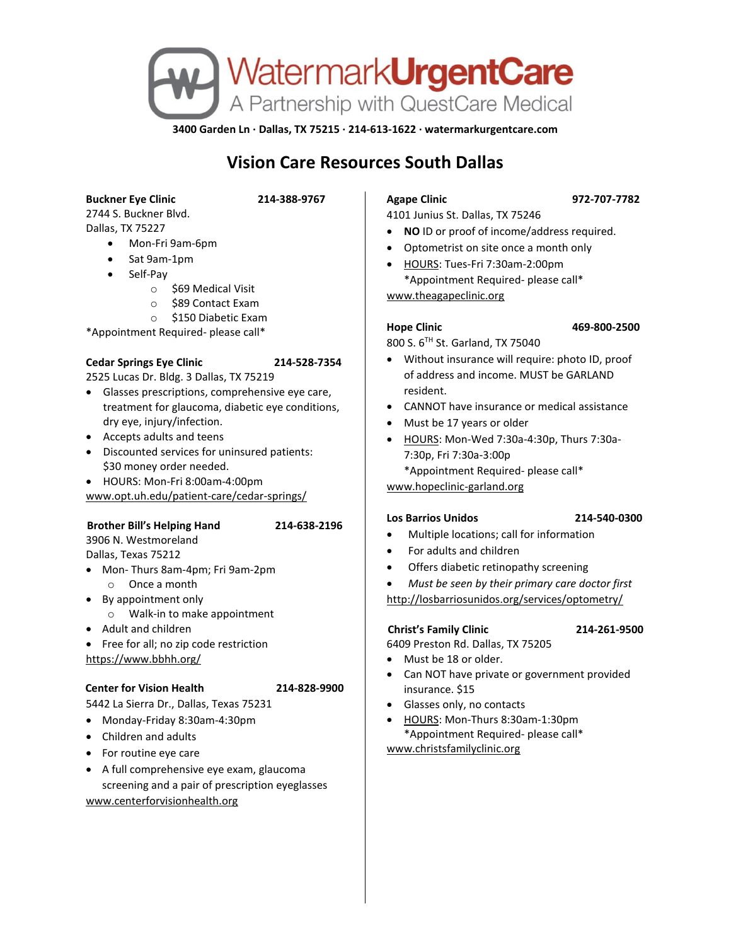

**3400 Garden Ln · Dallas, TX 75215 · 214-613-1622 · watermarkurgentcare.com**

# **Vision Care Resources South Dallas**

**Buckner Eye Clinic 214-388-9767**

# 2744 S. Buckner Blvd. Dallas, TX 75227

- Mon-Fri 9am-6pm
- Sat 9am-1pm
- Self-Pay
	- o \$69 Medical Visit
	- o \$89 Contact Exam
	- o \$150 Diabetic Exam

\*Appointment Required- please call\*

## **Cedar Springs Eye Clinic 214-528-7354**

2525 Lucas Dr. Bldg. 3 Dallas, TX 75219

- Glasses prescriptions, comprehensive eye care, treatment for glaucoma, diabetic eye conditions, dry eye, injury/infection.
- Accepts adults and teens
- Discounted services for uninsured patients: \$30 money order needed.
- HOURS: Mon-Fri 8:00am-4:00pm

www.opt.uh.edu/patient-care/cedar-springs/

## **Brother Bill's Helping Hand 214-638-2196**

3906 N. Westmoreland Dallas, Texas 75212

- Mon- Thurs 8am-4pm; Fri 9am-2pm o Once a month
- By appointment only
	- o Walk-in to make appointment
- Adult and children

• Free for all; no zip code restriction https://www.bbhh.org/

## **Center for Vision Health 214-828-9900**

- 5442 La Sierra Dr., Dallas, Texas 75231 • Monday-Friday 8:30am-4:30pm
- 
- Children and adults
- For routine eye care
- A full comprehensive eye exam, glaucoma screening and a pair of prescription eyeglasses www.centerforvisionhealth.org

# **Agape Clinic 972-707-7782**

4101 Junius St. Dallas, TX 75246

- **NO** ID or proof of income/address required.
- Optometrist on site once a month only
- HOURS: Tues-Fri 7:30am-2:00pm \*Appointment Required- please call\*

www.theagapeclinic.org

### **Hope Clinic 469-800-2500**

800 S. 6TH St. Garland, TX 75040

- Without insurance will require: photo ID, proof of address and income. MUST be GARLAND resident.
- CANNOT have insurance or medical assistance
- Must be 17 years or older
- HOURS: Mon-Wed 7:30a-4:30p, Thurs 7:30a-7:30p, Fri 7:30a-3:00p

\*Appointment Required- please call\*

www.hopeclinic-garland.org

# **Los Barrios Unidos 214-540-0300**

- Multiple locations; call for information
- For adults and children
- Offers diabetic retinopathy screening
- *Must be seen by their primary care doctor first*

http://losbarriosunidos.org/services/optometry/

# **Christ's Family Clinic 214-261-9500**

- 6409 Preston Rd. Dallas, TX 75205
- Must be 18 or older.
- Can NOT have private or government provided insurance. \$15
- Glasses only, no contacts
- HOURS: Mon-Thurs 8:30am-1:30pm \*Appointment Required- please call\* [www.christsfamilyclinic.org](http://www.christsfamilyclinic.org/)